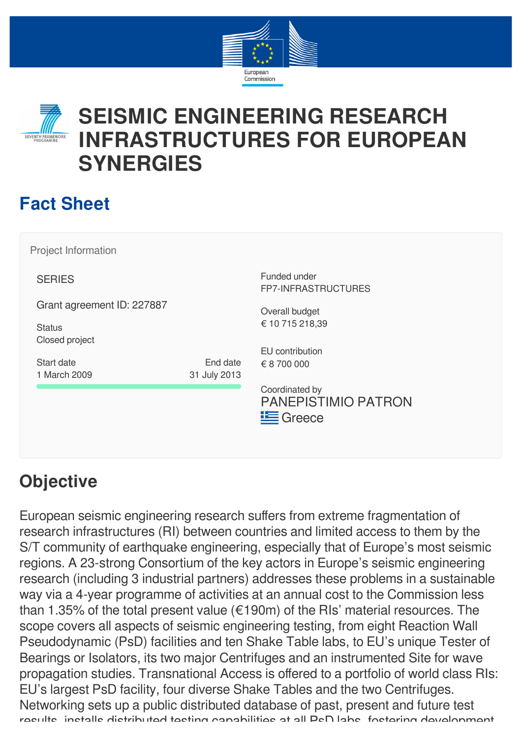



# **Fact Sheet**

Project Information

**SERIES** 

Grant agreement ID: 227887

**Status** Closed project

Start date 1 March 2009

End date 31 July 2013

Funded under FP7-INFRASTRUCTURES

Overall budget € 10 715 218,39

EU contribution € 8 700 000

Coordinated by PANEPISTIMIO PATRON **E** Greece

# **Objective**

European seismic engineering research suffers from extreme fragmentation of research infrastructures (RI) between countries and limited access to them by the S/T community of earthquake engineering, especially that of Europe's most seismic regions. A 23-strong Consortium of the key actors in Europe's seismic engineering research (including 3 industrial partners) addresses these problems in a sustainable way via a 4-year programme of activities at an annual cost to the Commission less than 1.35% of the total present value (€190m) of the RIs' material resources. The scope covers all aspects of seismic engineering testing, from eight Reaction Wall Pseudodynamic (PsD) facilities and ten Shake Table labs, to EU's unique Tester of Bearings or Isolators, its two major Centrifuges and an instrumented Site for wave propagation studies. Transnational Access is offered to a portfolio of world class RIs: EU's largest PsD facility, four diverse Shake Tables and the two Centrifuges. Networking sets up a public distributed database of past, present and future test results installs distributed testing capabilities at all PsD labs fostering development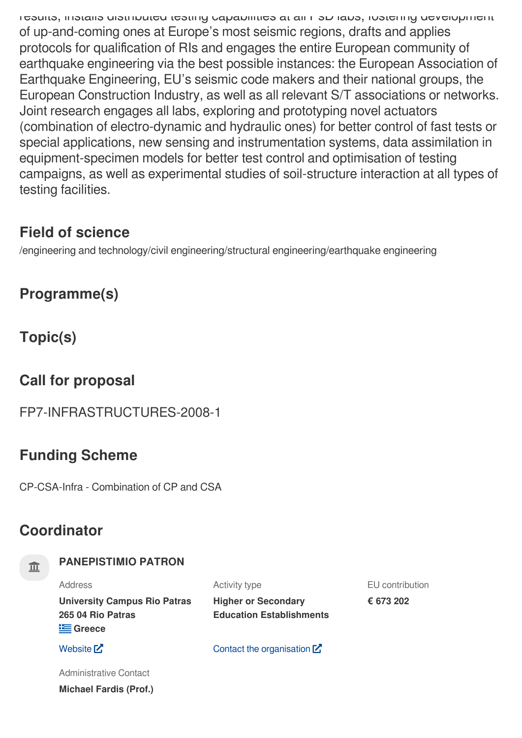results, installs distributed testing capabilities at all PsD labs, fostering development of up-and-coming ones at Europe's most seismic regions, drafts and applies protocols for qualification of RIs and engages the entire European community of earthquake engineering via the best possible instances: the European Association of Earthquake Engineering, EU's seismic code makers and their national groups, the European Construction Industry, as well as all relevant S/T associations or networks. Joint research engages all labs, exploring and prototyping novel actuators (combination of electro-dynamic and hydraulic ones) for better control of fast tests or special applications, new sensing and instrumentation systems, data assimilation in equipment-specimen models for better test control and optimisation of testing campaigns, as well as experimental studies of soil-structure interaction at all types of testing facilities.

# **Field of science**

/engineering and technology/civil engineering/structural engineering/earthquake engineering

**Programme(s)**

**Topic(s)**

# **Call for proposal**

FP7-INFRASTRUCTURES-2008-1

# **Funding Scheme**

CP-CSA-Infra - Combination of CP and CSA

# **Coordinator**

## **PANEPISTIMIO PATRON**

**Michael Fardis (Prof.)**

| Address                                                                | Activity type                                                 | EU contribution |
|------------------------------------------------------------------------|---------------------------------------------------------------|-----------------|
| <b>University Campus Rio Patras</b><br>265 04 Rio Patras<br>$E$ Greece | <b>Higher or Secondary</b><br><b>Education Establishments</b> | € 673 202       |
| Website [Z]                                                            | Contact the organisation $\mathbb{Z}$                         |                 |
| Administrative Contact                                                 |                                                               |                 |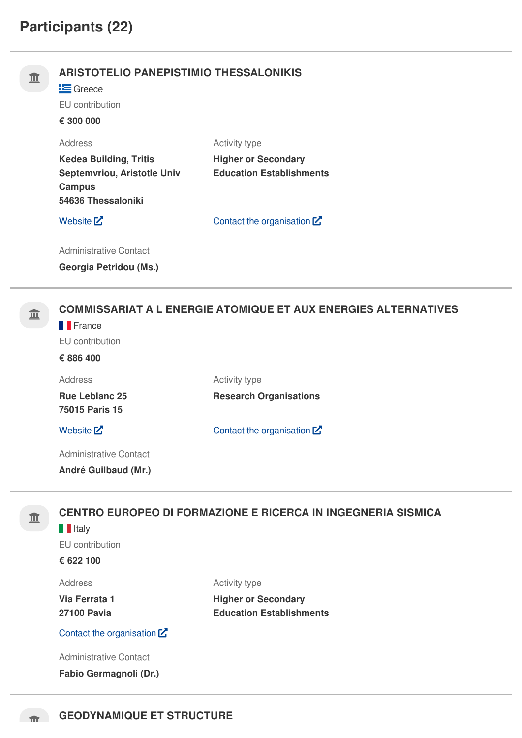| 皿 | <b>ARISTOTELIO PANEPISTIMIO THESSALONIKIS</b><br>Greece<br>EU contribution<br>€ 300 000                                |                                                                                       |  |
|---|------------------------------------------------------------------------------------------------------------------------|---------------------------------------------------------------------------------------|--|
|   | <b>Address</b><br><b>Kedea Building, Tritis</b><br>Septemvriou, Aristotle Univ<br><b>Campus</b><br>54636 Thessaloniki  | <b>Activity type</b><br><b>Higher or Secondary</b><br><b>Education Establishments</b> |  |
|   | Website $Z$                                                                                                            | Contact the organisation $\mathbf{Z}$                                                 |  |
|   | <b>Administrative Contact</b><br><b>Georgia Petridou (Ms.)</b>                                                         |                                                                                       |  |
| 皿 | <b>COMMISSARIAT A L ENERGIE ATOMIQUE ET AUX ENERGIES ALTERNATIVES</b><br><b>France</b><br>EU contribution<br>€ 886 400 |                                                                                       |  |
|   | <b>Address</b><br><b>Rue Leblanc 25</b><br>75015 Paris 15                                                              | Activity type<br><b>Research Organisations</b>                                        |  |
|   | Website <sup>[2]</sup>                                                                                                 | Contact the organisation $\mathbf{Z}$                                                 |  |
|   | <b>Administrative Contact</b>                                                                                          |                                                                                       |  |

**André Guilbaud (Mr.)**

# **CENTRO EUROPEO DI FORMAZIONE E RICERCA IN INGEGNERIA SISMICA**

## **I**Italy

EU contribution

**€ 622 100**

Address

**Via Ferrata 1 27100 Pavia**

Activity type

**Higher or Secondary Education Establishments**

Contact the [organisation](https://ec.europa.eu/info/funding-tenders/opportunities/portal/screen/contact-form/PROJECT/999844476/227887)  $\mathbf{Z}$ 

Administrative Contact

**Fabio Germagnoli (Dr.)**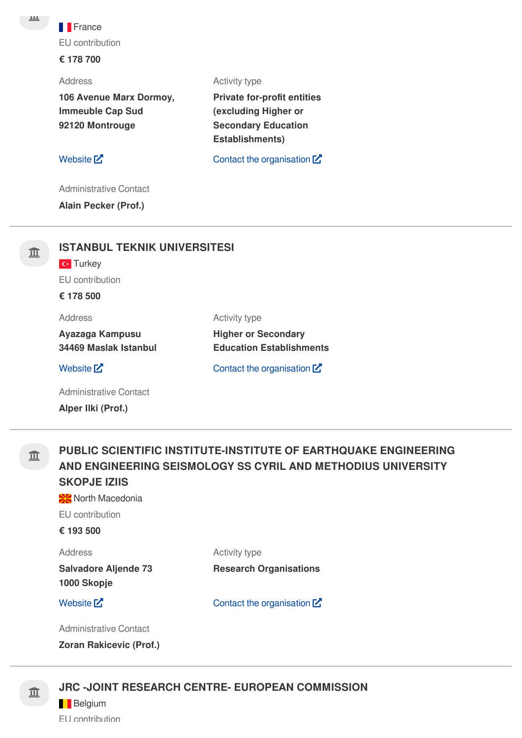**France** EU contribution

### **€ 178 700**

Address

**106 Avenue Marx Dormoy, Immeuble Cap Sud 92120 Montrouge**

[Website](http://www.geodynamique.com/)  $\mathsf{Z}^{\bullet}$  Contact the [organisation](https://ec.europa.eu/info/funding-tenders/opportunities/portal/screen/contact-form/PROJECT/998676014/227887)  $\mathsf{Z}^{\bullet}$ 

**Private for-profit entities (excluding Higher or Secondary Education**

Activity type

**Establishments)**

Administrative Contact

**Alain Pecker (Prof.)**

# **ISTANBUL TEKNIK UNIVERSITESI**

**C**<sup>t</sup> Turkey

EU contribution

**€ 178 500**

Address

Activity type

**Ayazaga Kampusu 34469 Maslak Istanbul**

[Website](http://www.itu.edu.tr/)  $\mathbb{Z}$  Contact the [organisation](https://ec.europa.eu/info/funding-tenders/opportunities/portal/screen/contact-form/PROJECT/999866592/227887)  $\mathbb{Z}$ 

**Education Establishments**

**Higher or Secondary**

Administrative Contact **Alper Ilki (Prof.)**

皿

## **PUBLIC SCIENTIFIC INSTITUTE-INSTITUTE OF EARTHQUAKE ENGINEERING AND ENGINEERING SEISMOLOGY SS CYRIL AND METHODIUS UNIVERSITY SKOPJE IZIIS**

**North Macedonia** 

EU contribution

### **€ 193 500**

Address

Activity type

**Salvadore Aljende 73 1000 Skopje**

[Website](http://www.iziis.edu.mk/)  $\mathbf{Z}$  Contact the [organisation](https://ec.europa.eu/info/funding-tenders/opportunities/portal/screen/contact-form/PROJECT/998675335/227887)  $\mathbf{Z}$ 

**Research Organisations**

Administrative Contact

**Zoran Rakicevic (Prof.)**

## **JRC -JOINT RESEARCH CENTRE- EUROPEAN COMMISSION**

**Belgium** 

EU contribution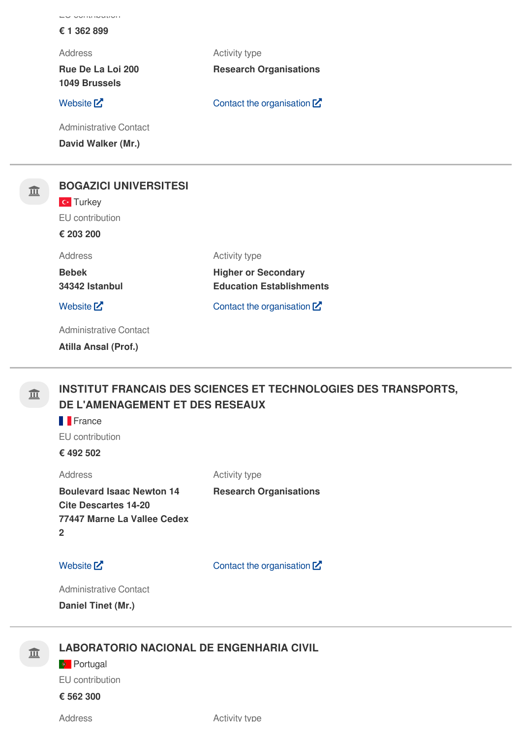| LU UUITETUULIUIT                          |                                 |
|-------------------------------------------|---------------------------------|
| € 1 362 899                               |                                 |
| <b>Address</b>                            | <b>Activity type</b>            |
| Rue De La Loi 200<br><b>1049 Brussels</b> | <b>Research Organisations</b>   |
| Website $Z$                               | Contact the organisation $Z$    |
| <b>Administrative Contact</b>             |                                 |
| David Walker (Mr.)                        |                                 |
|                                           |                                 |
| <b>BOGAZICI UNIVERSITESI</b>              |                                 |
| <b>C</b> Turkey                           |                                 |
| EU contribution                           |                                 |
| € 203 200                                 |                                 |
| <b>Address</b>                            | Activity type                   |
| <b>Bebek</b>                              | <b>Higher or Secondary</b>      |
| 34342 Istanbul                            | <b>Education Establishments</b> |

**Education Establishments** [Website](http://www.boun.edu.tr/)  $\mathbf{Z}$  Contact the [organisation](https://ec.europa.eu/info/funding-tenders/opportunities/portal/screen/contact-form/PROJECT/999882500/227887)  $\mathbf{Z}$ 

Administrative Contact

**Atilla Ansal (Prof.)**

血

皿

# **INSTITUT FRANCAIS DES SCIENCES ET TECHNOLOGIES DES TRANSPORTS, DE L'AMENAGEMENT ET DES RESEAUX**

Activity type

**France** 

EU contribution

**€ 492 502**

Address **Boulevard Isaac Newton 14 Cite Descartes 14-20 77447 Marne La Vallee Cedex 2**

[Website](http://www.ifsttar.fr/)  $\mathbb{Z}$  Contact the [organisation](https://ec.europa.eu/info/funding-tenders/opportunities/portal/screen/contact-form/PROJECT/968126446/227887)  $\mathbb{Z}$ 

**Research Organisations**

Administrative Contact

**Daniel Tinet (Mr.)**

## 亚

## **LABORATORIO NACIONAL DE ENGENHARIA CIVIL**

**Portugal** EU contribution

**€ 562 300**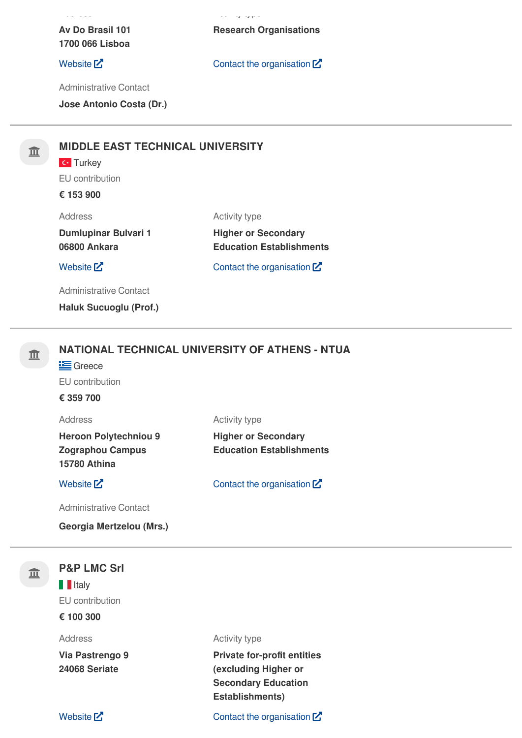**Av Do Brasil 101 1700 066 Lisboa**

Administrative Contact

**Jose Antonio Costa (Dr.)**

# **MIDDLE EAST TECHNICAL UNIVERSITY**

# **C**<sup>t</sup> Turkey

EU contribution

# **€ 153 900**

Address

### Activity type

Activity type

**Dumlupinar Bulvari 1 06800 Ankara**

**Higher or Secondary Education Establishments**

[Website](http://www.metu.edu.tr/)  $\mathbb{Z}$  Contact the [organisation](https://ec.europa.eu/info/funding-tenders/opportunities/portal/screen/contact-form/PROJECT/999643492/227887)  $\mathbb{Z}$ 

Administrative Contact

**Haluk Sucuoglu (Prof.)**

# **NATIONAL TECHNICAL UNIVERSITY OF ATHENS - NTUA**

**i** Greece

EU contribution

## **€ 359 700**

Address

**Heroon Polytechniou 9 Zographou Campus 15780 Athina**

[Website](http://www.ntua.gr/)  $\mathbb{Z}^{\bullet}$  Contact the [organisation](https://ec.europa.eu/info/funding-tenders/opportunities/portal/screen/contact-form/PROJECT/999978142/227887)  $\mathbb{Z}^{\bullet}$ 

**Education Establishments**

**Higher or Secondary**

Administrative Contact

**Georgia Mertzelou (Mrs.)**

| 血 | <b>P&amp;P LMC Srl</b>           |                                                                                                                    |  |
|---|----------------------------------|--------------------------------------------------------------------------------------------------------------------|--|
|   | <b>I</b> Italy                   |                                                                                                                    |  |
|   | EU contribution                  |                                                                                                                    |  |
|   | € 100 300                        |                                                                                                                    |  |
|   | Address                          | Activity type                                                                                                      |  |
|   | Via Pastrengo 9<br>24068 Seriate | <b>Private for-profit entities</b><br>(excluding Higher or<br><b>Secondary Education</b><br><b>Establishments)</b> |  |
|   | Website $Z$                      | Contact the organisation $\mathbf{Z}$                                                                              |  |

## [Website](http://www.lnec.pt/)  $\mathbb{Z}$  Contact the [organisation](https://ec.europa.eu/info/funding-tenders/opportunities/portal/screen/contact-form/PROJECT/998850517/227887)  $\mathbb{Z}$

**Research Organisations**

 $\ddotsc$  types types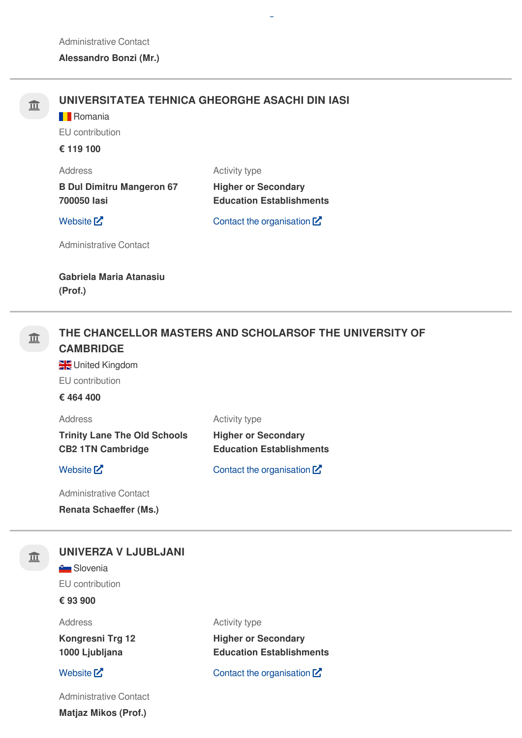| 亘 | <b>B</b> Romania<br>EU contribution<br>€ 119 100                                | UNIVERSITATEA TEHNICA GHEORGHE ASACHI DIN IASI                                 |
|---|---------------------------------------------------------------------------------|--------------------------------------------------------------------------------|
|   | <b>Address</b><br><b>B Dul Dimitru Mangeron 67</b><br>700050 lasi               | Activity type<br><b>Higher or Secondary</b><br><b>Education Establishments</b> |
|   | Website $Z$                                                                     | Contact the organisation $Z$                                                   |
|   | <b>Administrative Contact</b>                                                   |                                                                                |
|   | Gabriela Maria Atanasiu<br>(Prof.)                                              |                                                                                |
| 亘 | <b>CAMBRIDGE</b><br>United Kingdom<br>EU contribution<br>€ 464 400              | THE CHANCELLOR MASTERS AND SCHOLARSOF THE UNIVERSITY OF                        |
|   | <b>Address</b>                                                                  | Activity type                                                                  |
|   | <b>Trinity Lane The Old Schools</b><br><b>CB2 1TN Cambridge</b>                 | <b>Higher or Secondary</b><br><b>Education Establishments</b>                  |
|   | Website <sup>[2]</sup>                                                          | Contact the organisation $\mathbf{Z}$                                          |
|   | <b>Administrative Contact</b>                                                   |                                                                                |
|   | <b>Renata Schaeffer (Ms.)</b>                                                   |                                                                                |
| 皿 | UNIVERZA V LJUBLJANI<br><b>Contract Slovenia</b><br>EU contribution<br>€ 93 900 |                                                                                |
|   | <b>Address</b>                                                                  | Activity type                                                                  |
|   | Kongresni Trg 12                                                                | <b>Higher or Secondary</b>                                                     |

**Education Establishments**

**1000 Ljubljana**

## [Website](http://www.uni-lj.si/)  $\mathbf{Z}$  Contact the [organisation](https://ec.europa.eu/info/funding-tenders/opportunities/portal/screen/contact-form/PROJECT/999923240/227887)  $\mathbf{Z}$

Administrative Contact

**Matjaz Mikos (Prof.)**

[g](https://ec.europa.eu/info/funding-tenders/opportunities/portal/screen/contact-form/PROJECT/997587577/227887)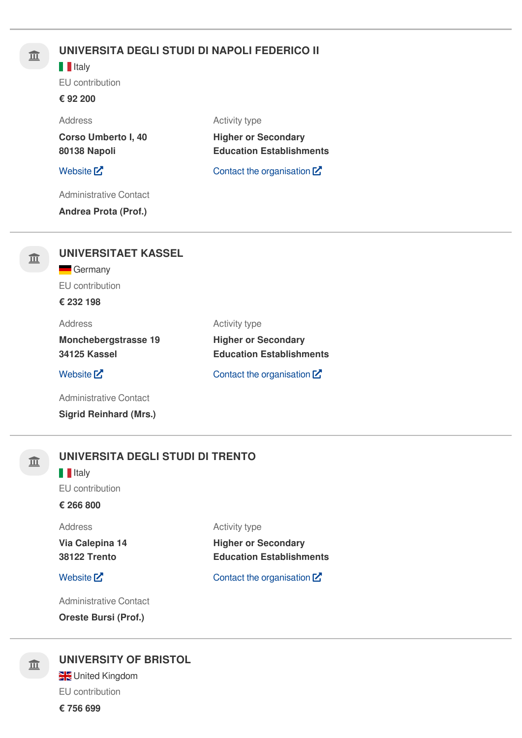# **UNIVERSITA DEGLI STUDI DI NAPOLI FEDERICO II**

### **I**Italy

EU contribution

### **€ 92 200**

Address

**Corso Umberto I, 40 80138 Napoli**

**Higher or Secondary Education Establishments**

Activity type

### [Website](http://www.unina.it/)  $\mathbb{Z}$  Contact the [organisation](https://ec.europa.eu/info/funding-tenders/opportunities/portal/screen/contact-form/PROJECT/999976590/227887)  $\mathbb{Z}$

Administrative Contact

**Andrea Prota (Prof.)**

| 皿 | <b>UNIVERSITAET KASSEL</b>                  |                                                               |  |
|---|---------------------------------------------|---------------------------------------------------------------|--|
|   | Germany<br>$\equiv$                         |                                                               |  |
|   | EU contribution                             |                                                               |  |
|   | € 232 198                                   |                                                               |  |
|   | Address                                     | <b>Activity type</b>                                          |  |
|   | <b>Monchebergstrasse 19</b><br>34125 Kassel | <b>Higher or Secondary</b><br><b>Education Establishments</b> |  |
|   | Website $Z$                                 | Contact the organisation $\mathbb Z$                          |  |
|   | Administrative Contact                      |                                                               |  |
|   | <b>Sigrid Reinhard (Mrs.)</b>               |                                                               |  |



# **UNIVERSITA DEGLI STUDI DI TRENTO**

### **I**IItaly

EU contribution

## **€ 266 800**

### **Address**

**Via Calepina 14 38122 Trento**

[Website](http://www.unitn.it/)  $\mathbb{Z}$  Contact the [organisation](https://ec.europa.eu/info/funding-tenders/opportunities/portal/screen/contact-form/PROJECT/999841954/227887)  $\mathbb{Z}$ 

**Education Establishments**

**Higher or Secondary**

Activity type

Administrative Contact

**Oreste Bursi (Prof.)**

# **UNIVERSITY OF BRISTOL**

**W**United Kingdom EU contribution

**€ 756 699**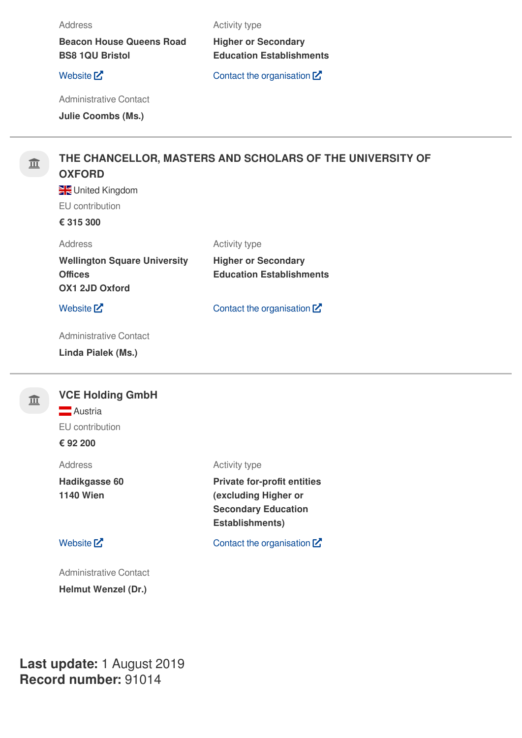### Address

**Beacon House Queens Road BS8 1QU Bristol**

Activity type

**Higher or Secondary Education Establishments**

[Website](http://www.bristol.ac.uk/)  $\mathsf{Z}^{\bullet}$  Contact the [organisation](https://ec.europa.eu/info/funding-tenders/opportunities/portal/screen/contact-form/PROJECT/999974262/227887)  $\mathsf{Z}^{\bullet}$ 

Administrative Contact

**Julie Coombs (Ms.)**

## **THE CHANCELLOR, MASTERS AND SCHOLARS OF THE UNIVERSITY OF OXFORD**

United Kingdom EU contribution

### **€ 315 300**

| Address                             | <b>Activity type</b> |
|-------------------------------------|----------------------|
| <b>Wellington Square University</b> | <b>Higher or S</b>   |
| <b>Offices</b>                      | <b>Education I</b>   |
| <b>OX1 2JD Oxford</b>               |                      |

### [Website](http://www.ox.ac.uk/)  $\mathbf{Z}$  Contact the [organisation](https://ec.europa.eu/info/funding-tenders/opportunities/portal/screen/contact-form/PROJECT/999984350/227887)  $\mathbf{Z}$

**Higher** or **Secondary** 

**Education Establishments**

Administrative Contact

**Linda Pialek (Ms.)**

亘

 $\widehat{\mathbb{m}}$ 

## **VCE Holding GmbH Austria**

EU contribution

**€ 92 200**

Address

**Hadikgasse 60 1140 Wien**

Administrative Contact **Helmut Wenzel (Dr.)**

### Activity type

**Private for-profit entities (excluding Higher or Secondary Education Establishments)**

[Website](http://www.vce.at/)  $\mathbb{Z}$  Contact the [organisation](https://ec.europa.eu/info/funding-tenders/opportunities/portal/screen/contact-form/PROJECT/998821417/227887)  $\mathbb{Z}$ 

**Last update:** 1 August 2019 **Record number:** 91014